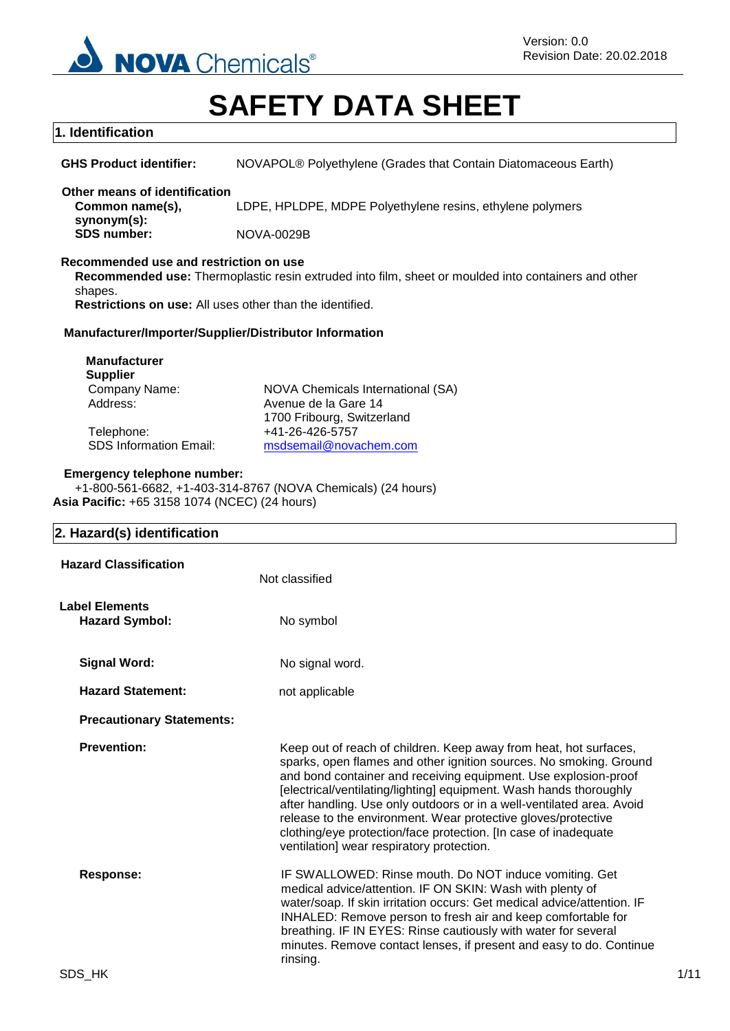

# **SAFETY DATA SHEET**

# **1. Identification**

| <b>GHS Product identifier:</b> | NOVAPOL® Polyethylene (Grades that Contain Diatomaceous Earth) |
|--------------------------------|----------------------------------------------------------------|
|--------------------------------|----------------------------------------------------------------|

**Other means of identification Common name(s), synonym(s):** LDPE, HPLDPE, MDPE Polyethylene resins, ethylene polymers

**SDS number:** NOVA-0029B

# **Recommended use and restriction on use**

**Recommended use:** Thermoplastic resin extruded into film, sheet or moulded into containers and other shapes.

**Restrictions on use:** All uses other than the identified.

# **Manufacturer/Importer/Supplier/Distributor Information**

| <b>Manufacturer</b>           |                                   |
|-------------------------------|-----------------------------------|
| <b>Supplier</b>               |                                   |
| Company Name:                 | NOVA Chemicals International (SA) |
| Address:                      | Avenue de la Gare 14              |
|                               | 1700 Fribourg, Switzerland        |
| Telephone:                    | +41-26-426-5757                   |
| <b>SDS Information Email:</b> | msdsemail@novachem.com            |

#### **Emergency telephone number:**

+1-800-561-6682, +1-403-314-8767 (NOVA Chemicals) (24 hours) **Asia Pacific:** +65 3158 1074 (NCEC) (24 hours)

# **2. Hazard(s) identification**

| <b>Hazard Classification</b>                   | Not classified                                                                                                                                                                                                                                                                                                                                                                                                                                                                                                                             |  |
|------------------------------------------------|--------------------------------------------------------------------------------------------------------------------------------------------------------------------------------------------------------------------------------------------------------------------------------------------------------------------------------------------------------------------------------------------------------------------------------------------------------------------------------------------------------------------------------------------|--|
| <b>Label Elements</b><br><b>Hazard Symbol:</b> | No symbol                                                                                                                                                                                                                                                                                                                                                                                                                                                                                                                                  |  |
| <b>Signal Word:</b>                            | No signal word.                                                                                                                                                                                                                                                                                                                                                                                                                                                                                                                            |  |
| <b>Hazard Statement:</b>                       | not applicable                                                                                                                                                                                                                                                                                                                                                                                                                                                                                                                             |  |
| <b>Precautionary Statements:</b>               |                                                                                                                                                                                                                                                                                                                                                                                                                                                                                                                                            |  |
| <b>Prevention:</b>                             | Keep out of reach of children. Keep away from heat, hot surfaces,<br>sparks, open flames and other ignition sources. No smoking. Ground<br>and bond container and receiving equipment. Use explosion-proof<br>[electrical/ventilating/lighting] equipment. Wash hands thoroughly<br>after handling. Use only outdoors or in a well-ventilated area. Avoid<br>release to the environment. Wear protective gloves/protective<br>clothing/eye protection/face protection. [In case of inadequate<br>ventilation] wear respiratory protection. |  |
| <b>Response:</b>                               | IF SWALLOWED: Rinse mouth. Do NOT induce vomiting. Get<br>medical advice/attention. IF ON SKIN: Wash with plenty of<br>water/soap. If skin irritation occurs: Get medical advice/attention. IF<br>INHALED: Remove person to fresh air and keep comfortable for<br>breathing. IF IN EYES: Rinse cautiously with water for several<br>minutes. Remove contact lenses, if present and easy to do. Continue<br>rinsing.                                                                                                                        |  |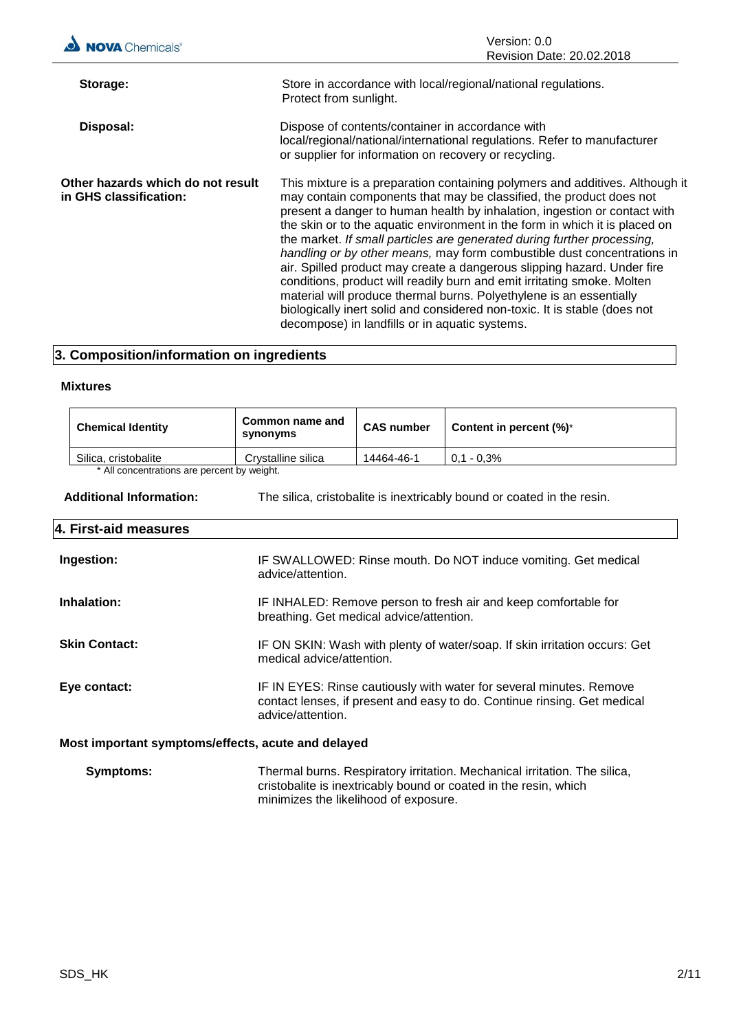

## **3. Composition/information on ingredients**

#### **Mixtures**

| <b>Chemical Identity</b>                    | Common name and<br>synonyms | <b>CAS number</b> | Content in percent $(\%)^*$ |
|---------------------------------------------|-----------------------------|-------------------|-----------------------------|
| Silica, cristobalite                        | Crystalline silica          | 14464-46-1        | $0.1 - 0.3\%$               |
| * All concentrations are percent by weight. |                             |                   |                             |

**Additional Information:** The silica, cristobalite is inextricably bound or coated in the resin.

#### **4. First-aid measures**

| Ingestion:                                         | IF SWALLOWED: Rinse mouth. Do NOT induce vomiting. Get medical<br>advice/attention.                                                                                  |  |
|----------------------------------------------------|----------------------------------------------------------------------------------------------------------------------------------------------------------------------|--|
| Inhalation:                                        | IF INHALED: Remove person to fresh air and keep comfortable for<br>breathing. Get medical advice/attention.                                                          |  |
| <b>Skin Contact:</b>                               | IF ON SKIN: Wash with plenty of water/soap. If skin irritation occurs: Get<br>medical advice/attention.                                                              |  |
| Eye contact:                                       | IF IN EYES: Rinse cautiously with water for several minutes. Remove<br>contact lenses, if present and easy to do. Continue rinsing. Get medical<br>advice/attention. |  |
| Most important symptoms/offects, acute and delayed |                                                                                                                                                                      |  |

#### **Most important symptoms/effects, acute and delayed**

| <b>Symptoms:</b> | Thermal burns. Respiratory irritation. Mechanical irritation. The silica, |
|------------------|---------------------------------------------------------------------------|
|                  | cristobalite is inextricably bound or coated in the resin, which          |
|                  | minimizes the likelihood of exposure.                                     |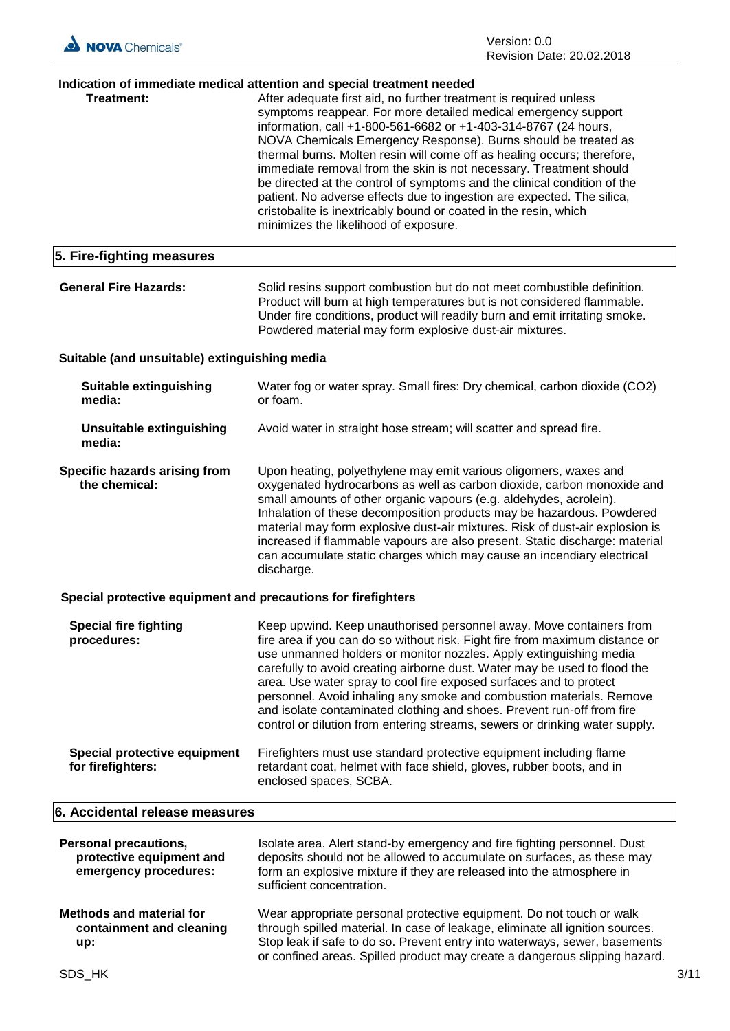

# **Indication of immediate medical attention and special treatment needed**

| Treatment:                | After adequate first aid, no further treatment is required unless<br>symptoms reappear. For more detailed medical emergency support<br>information, call +1-800-561-6682 or +1-403-314-8767 (24 hours,<br>NOVA Chemicals Emergency Response). Burns should be treated as<br>thermal burns. Molten resin will come off as healing occurs; therefore,<br>immediate removal from the skin is not necessary. Treatment should<br>be directed at the control of symptoms and the clinical condition of the<br>patient. No adverse effects due to ingestion are expected. The silica,<br>cristobalite is inextricably bound or coated in the resin, which<br>minimizes the likelihood of exposure. |
|---------------------------|----------------------------------------------------------------------------------------------------------------------------------------------------------------------------------------------------------------------------------------------------------------------------------------------------------------------------------------------------------------------------------------------------------------------------------------------------------------------------------------------------------------------------------------------------------------------------------------------------------------------------------------------------------------------------------------------|
| 5. Fire-fighting measures |                                                                                                                                                                                                                                                                                                                                                                                                                                                                                                                                                                                                                                                                                              |

| <b>General Fire Hazards:</b> | Solid resins support combustion but do not meet combustible definition.     |
|------------------------------|-----------------------------------------------------------------------------|
|                              | Product will burn at high temperatures but is not considered flammable.     |
|                              | Under fire conditions, product will readily burn and emit irritating smoke. |
|                              | Powdered material may form explosive dust-air mixtures.                     |

# **Suitable (and unsuitable) extinguishing media**

| Suitable extinguishing<br>media:                      | Water fog or water spray. Small fires: Dry chemical, carbon dioxide (CO2)<br>or foam.                                                                                                                                                                                                                                                                                                                                                                                                                                                            |
|-------------------------------------------------------|--------------------------------------------------------------------------------------------------------------------------------------------------------------------------------------------------------------------------------------------------------------------------------------------------------------------------------------------------------------------------------------------------------------------------------------------------------------------------------------------------------------------------------------------------|
| Unsuitable extinguishing<br>media:                    | Avoid water in straight hose stream; will scatter and spread fire.                                                                                                                                                                                                                                                                                                                                                                                                                                                                               |
| <b>Specific hazards arising from</b><br>the chemical: | Upon heating, polyethylene may emit various oligomers, waxes and<br>oxygenated hydrocarbons as well as carbon dioxide, carbon monoxide and<br>small amounts of other organic vapours (e.g. aldehydes, acrolein).<br>Inhalation of these decomposition products may be hazardous. Powdered<br>material may form explosive dust-air mixtures. Risk of dust-air explosion is<br>increased if flammable vapours are also present. Static discharge: material<br>can accumulate static charges which may cause an incendiary electrical<br>discharge. |

# **Special protective equipment and precautions for firefighters**

| <b>Special fire fighting</b><br>procedures:       | Keep upwind. Keep unauthorised personnel away. Move containers from<br>fire area if you can do so without risk. Fight fire from maximum distance or<br>use unmanned holders or monitor nozzles. Apply extinguishing media<br>carefully to avoid creating airborne dust. Water may be used to flood the<br>area. Use water spray to cool fire exposed surfaces and to protect<br>personnel. Avoid inhaling any smoke and combustion materials. Remove<br>and isolate contaminated clothing and shoes. Prevent run-off from fire<br>control or dilution from entering streams, sewers or drinking water supply. |
|---------------------------------------------------|---------------------------------------------------------------------------------------------------------------------------------------------------------------------------------------------------------------------------------------------------------------------------------------------------------------------------------------------------------------------------------------------------------------------------------------------------------------------------------------------------------------------------------------------------------------------------------------------------------------|
| Special protective equipment<br>for firefighters: | Firefighters must use standard protective equipment including flame<br>retardant coat, helmet with face shield, gloves, rubber boots, and in<br>enclosed spaces, SCBA.                                                                                                                                                                                                                                                                                                                                                                                                                                        |

## **6. Accidental release measures**

| <b>Personal precautions,</b><br>protective equipment and<br>emergency procedures: | Isolate area. Alert stand-by emergency and fire fighting personnel. Dust<br>deposits should not be allowed to accumulate on surfaces, as these may<br>form an explosive mixture if they are released into the atmosphere in<br>sufficient concentration.                                                          |      |
|-----------------------------------------------------------------------------------|-------------------------------------------------------------------------------------------------------------------------------------------------------------------------------------------------------------------------------------------------------------------------------------------------------------------|------|
| <b>Methods and material for</b><br>containment and cleaning<br>up:                | Wear appropriate personal protective equipment. Do not touch or walk<br>through spilled material. In case of leakage, eliminate all ignition sources.<br>Stop leak if safe to do so. Prevent entry into waterways, sewer, basements<br>or confined areas. Spilled product may create a dangerous slipping hazard. |      |
| SDS HK                                                                            |                                                                                                                                                                                                                                                                                                                   | 3/11 |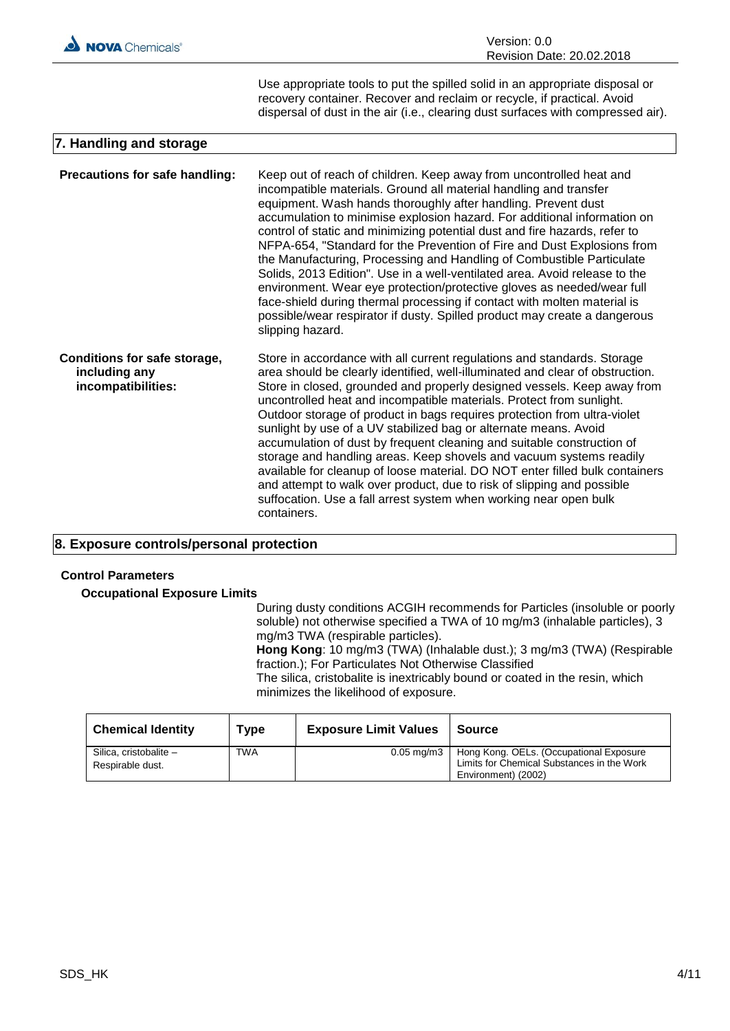

Use appropriate tools to put the spilled solid in an appropriate disposal or recovery container. Recover and reclaim or recycle, if practical. Avoid dispersal of dust in the air (i.e., clearing dust surfaces with compressed air).

# **7. Handling and storage**

| <b>Precautions for safe handling:</b>                               | Keep out of reach of children. Keep away from uncontrolled heat and<br>incompatible materials. Ground all material handling and transfer<br>equipment. Wash hands thoroughly after handling. Prevent dust<br>accumulation to minimise explosion hazard. For additional information on<br>control of static and minimizing potential dust and fire hazards, refer to<br>NFPA-654, "Standard for the Prevention of Fire and Dust Explosions from<br>the Manufacturing, Processing and Handling of Combustible Particulate<br>Solids, 2013 Edition". Use in a well-ventilated area. Avoid release to the<br>environment. Wear eye protection/protective gloves as needed/wear full<br>face-shield during thermal processing if contact with molten material is<br>possible/wear respirator if dusty. Spilled product may create a dangerous<br>slipping hazard. |
|---------------------------------------------------------------------|--------------------------------------------------------------------------------------------------------------------------------------------------------------------------------------------------------------------------------------------------------------------------------------------------------------------------------------------------------------------------------------------------------------------------------------------------------------------------------------------------------------------------------------------------------------------------------------------------------------------------------------------------------------------------------------------------------------------------------------------------------------------------------------------------------------------------------------------------------------|
| Conditions for safe storage,<br>including any<br>incompatibilities: | Store in accordance with all current regulations and standards. Storage<br>area should be clearly identified, well-illuminated and clear of obstruction.<br>Store in closed, grounded and properly designed vessels. Keep away from<br>uncontrolled heat and incompatible materials. Protect from sunlight.<br>Outdoor storage of product in bags requires protection from ultra-violet<br>sunlight by use of a UV stabilized bag or alternate means. Avoid<br>accumulation of dust by frequent cleaning and suitable construction of<br>storage and handling areas. Keep shovels and vacuum systems readily<br>available for cleanup of loose material. DO NOT enter filled bulk containers<br>and attempt to walk over product, due to risk of slipping and possible<br>suffocation. Use a fall arrest system when working near open bulk<br>containers.   |

# **8. Exposure controls/personal protection**

#### **Control Parameters**

**Occupational Exposure Limits**

During dusty conditions ACGIH recommends for Particles (insoluble or poorly soluble) not otherwise specified a TWA of 10 mg/m3 (inhalable particles), 3 mg/m3 TWA (respirable particles). **Hong Kong**: 10 mg/m3 (TWA) (Inhalable dust.); 3 mg/m3 (TWA) (Respirable fraction.); For Particulates Not Otherwise Classified The silica, cristobalite is inextricably bound or coated in the resin, which minimizes the likelihood of exposure.

| <b>Chemical Identity</b>                   | Type       | <b>Exposure Limit Values</b> | Source                                                                                                       |
|--------------------------------------------|------------|------------------------------|--------------------------------------------------------------------------------------------------------------|
| Silica, cristobalite -<br>Respirable dust. | <b>TWA</b> | $0.05 \,\mathrm{mq/m3}$      | Hong Kong. OELs. (Occupational Exposure<br>Limits for Chemical Substances in the Work<br>Environment) (2002) |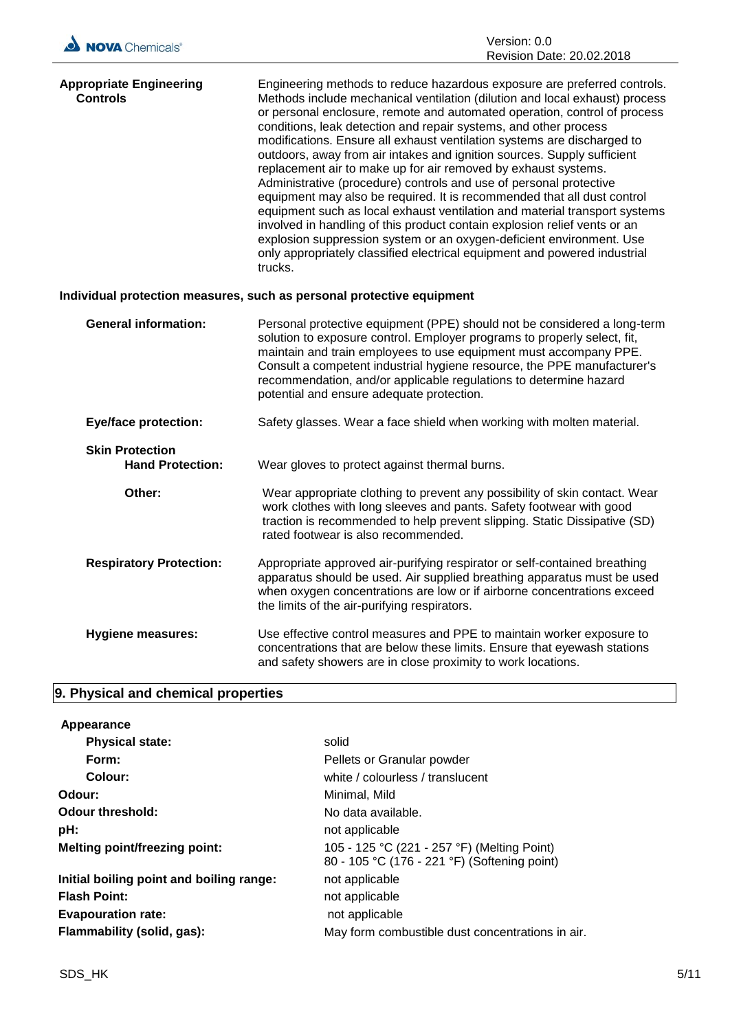

| <b>Appropriate Engineering</b><br><b>Controls</b> | Engineering methods to reduce hazardous exposure are preferred controls.<br>Methods include mechanical ventilation (dilution and local exhaust) process<br>or personal enclosure, remote and automated operation, control of process<br>conditions, leak detection and repair systems, and other process<br>modifications. Ensure all exhaust ventilation systems are discharged to<br>outdoors, away from air intakes and ignition sources. Supply sufficient<br>replacement air to make up for air removed by exhaust systems.<br>Administrative (procedure) controls and use of personal protective<br>equipment may also be required. It is recommended that all dust control<br>equipment such as local exhaust ventilation and material transport systems<br>involved in handling of this product contain explosion relief vents or an<br>explosion suppression system or an oxygen-deficient environment. Use<br>only appropriately classified electrical equipment and powered industrial<br>trucks. |
|---------------------------------------------------|--------------------------------------------------------------------------------------------------------------------------------------------------------------------------------------------------------------------------------------------------------------------------------------------------------------------------------------------------------------------------------------------------------------------------------------------------------------------------------------------------------------------------------------------------------------------------------------------------------------------------------------------------------------------------------------------------------------------------------------------------------------------------------------------------------------------------------------------------------------------------------------------------------------------------------------------------------------------------------------------------------------|
|                                                   | Individual protection measures, such as personal protective equipment                                                                                                                                                                                                                                                                                                                                                                                                                                                                                                                                                                                                                                                                                                                                                                                                                                                                                                                                        |
| <b>General information:</b>                       | Personal protective equipment (PPE) should not be considered a long-term<br>solution to exposure control. Employer programs to properly select, fit,<br>maintain and train employees to use equipment must accompany PPE.<br>Consult a competent industrial hygiene resource, the PPE manufacturer's<br>recommendation, and/or applicable regulations to determine hazard<br>potential and ensure adequate protection.                                                                                                                                                                                                                                                                                                                                                                                                                                                                                                                                                                                       |
| <b>Eye/face protection:</b>                       | Safety glasses. Wear a face shield when working with molten material.                                                                                                                                                                                                                                                                                                                                                                                                                                                                                                                                                                                                                                                                                                                                                                                                                                                                                                                                        |
| <b>Skin Protection</b><br><b>Hand Protection:</b> | Wear gloves to protect against thermal burns.                                                                                                                                                                                                                                                                                                                                                                                                                                                                                                                                                                                                                                                                                                                                                                                                                                                                                                                                                                |
| Other:                                            | Wear appropriate clothing to prevent any possibility of skin contact. Wear<br>work clothes with long sleeves and pants. Safety footwear with good<br>traction is recommended to help prevent slipping. Static Dissipative (SD)<br>rated footwear is also recommended.                                                                                                                                                                                                                                                                                                                                                                                                                                                                                                                                                                                                                                                                                                                                        |
| <b>Respiratory Protection:</b>                    | Appropriate approved air-purifying respirator or self-contained breathing<br>apparatus should be used. Air supplied breathing apparatus must be used<br>when oxygen concentrations are low or if airborne concentrations exceed<br>the limits of the air-purifying respirators.                                                                                                                                                                                                                                                                                                                                                                                                                                                                                                                                                                                                                                                                                                                              |
| Hygiene measures:                                 | Use effective control measures and PPE to maintain worker exposure to<br>concentrations that are below these limits. Ensure that eyewash stations<br>and safety showers are in close proximity to work locations.                                                                                                                                                                                                                                                                                                                                                                                                                                                                                                                                                                                                                                                                                                                                                                                            |

# **9. Physical and chemical properties**

| Appearance                               |                                                                                             |
|------------------------------------------|---------------------------------------------------------------------------------------------|
| <b>Physical state:</b>                   | solid                                                                                       |
| Form:                                    | Pellets or Granular powder                                                                  |
| Colour:                                  | white / colourless / translucent                                                            |
| Odour:                                   | Minimal, Mild                                                                               |
| Odour threshold:                         | No data available.                                                                          |
| pH:                                      | not applicable                                                                              |
| <b>Melting point/freezing point:</b>     | 105 - 125 °C (221 - 257 °F) (Melting Point)<br>80 - 105 °C (176 - 221 °F) (Softening point) |
| Initial boiling point and boiling range: | not applicable                                                                              |
| <b>Flash Point:</b>                      | not applicable                                                                              |
| <b>Evapouration rate:</b>                | not applicable                                                                              |
| Flammability (solid, gas):               | May form combustible dust concentrations in air.                                            |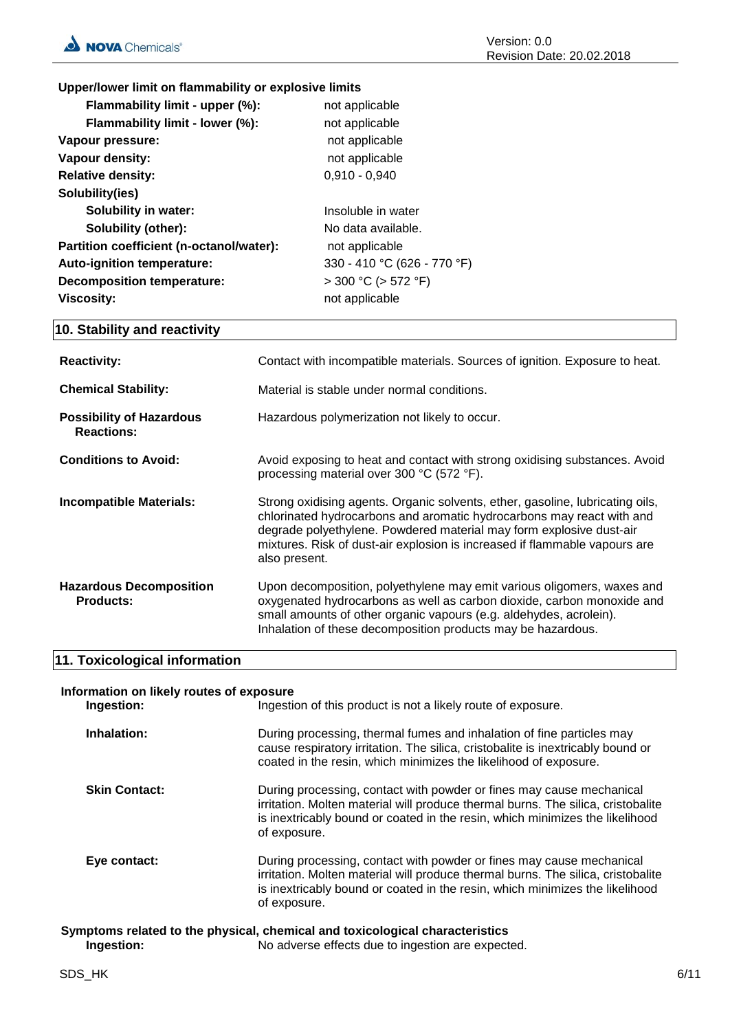# **Upper/lower limit on flammability or explosive limits**

| Flammability limit - upper (%):          | not applicable              |
|------------------------------------------|-----------------------------|
| Flammability limit - lower (%):          | not applicable              |
| Vapour pressure:                         | not applicable              |
| Vapour density:                          | not applicable              |
| <b>Relative density:</b>                 | $0,910 - 0,940$             |
| Solubility(ies)                          |                             |
| <b>Solubility in water:</b>              | Insoluble in water          |
| <b>Solubility (other):</b>               | No data available.          |
| Partition coefficient (n-octanol/water): | not applicable              |
| Auto-ignition temperature:               | 330 - 410 °C (626 - 770 °F) |
| <b>Decomposition temperature:</b>        | $>$ 300 °C ( $>$ 572 °F)    |
| Viscosity:                               | not applicable              |

# **10. Stability and reactivity**

| <b>Reactivity:</b>                                   | Contact with incompatible materials. Sources of ignition. Exposure to heat.                                                                                                                                                                                                                                                  |
|------------------------------------------------------|------------------------------------------------------------------------------------------------------------------------------------------------------------------------------------------------------------------------------------------------------------------------------------------------------------------------------|
| <b>Chemical Stability:</b>                           | Material is stable under normal conditions.                                                                                                                                                                                                                                                                                  |
| <b>Possibility of Hazardous</b><br><b>Reactions:</b> | Hazardous polymerization not likely to occur.                                                                                                                                                                                                                                                                                |
| <b>Conditions to Avoid:</b>                          | Avoid exposing to heat and contact with strong oxidising substances. Avoid<br>processing material over 300 °C (572 °F).                                                                                                                                                                                                      |
| <b>Incompatible Materials:</b>                       | Strong oxidising agents. Organic solvents, ether, gasoline, lubricating oils,<br>chlorinated hydrocarbons and aromatic hydrocarbons may react with and<br>degrade polyethylene. Powdered material may form explosive dust-air<br>mixtures. Risk of dust-air explosion is increased if flammable vapours are<br>also present. |
| <b>Hazardous Decomposition</b><br>Products:          | Upon decomposition, polyethylene may emit various oligomers, waxes and<br>oxygenated hydrocarbons as well as carbon dioxide, carbon monoxide and<br>small amounts of other organic vapours (e.g. aldehydes, acrolein).<br>Inhalation of these decomposition products may be hazardous.                                       |

# **11. Toxicological information**

| Information on likely routes of exposure<br>Ingestion: | Ingestion of this product is not a likely route of exposure.                                                                                                                                                                                             |
|--------------------------------------------------------|----------------------------------------------------------------------------------------------------------------------------------------------------------------------------------------------------------------------------------------------------------|
| Inhalation:                                            | During processing, thermal fumes and inhalation of fine particles may<br>cause respiratory irritation. The silica, cristobalite is inextricably bound or<br>coated in the resin, which minimizes the likelihood of exposure.                             |
| <b>Skin Contact:</b>                                   | During processing, contact with powder or fines may cause mechanical<br>irritation. Molten material will produce thermal burns. The silica, cristobalite<br>is inextricably bound or coated in the resin, which minimizes the likelihood<br>of exposure. |
| Eye contact:                                           | During processing, contact with powder or fines may cause mechanical<br>irritation. Molten material will produce thermal burns. The silica, cristobalite<br>is inextricably bound or coated in the resin, which minimizes the likelihood<br>of exposure. |
|                                                        | Symptoms related to the physical, chemical and toxicological characteristics                                                                                                                                                                             |

**Ingestion:** No adverse effects due to ingestion are expected.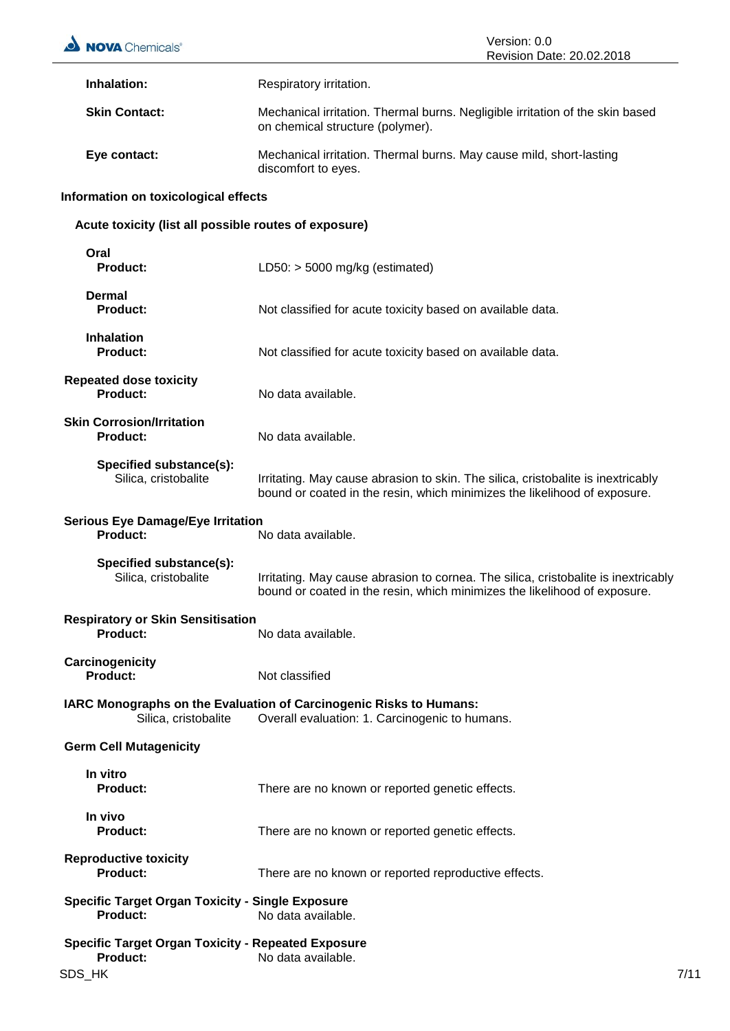| NOVA Chemicals <sup>®</sup>                                                            | Version: 0.0<br>Revision Date: 20.02.2018                                                                                                                       |      |
|----------------------------------------------------------------------------------------|-----------------------------------------------------------------------------------------------------------------------------------------------------------------|------|
| Inhalation:                                                                            | Respiratory irritation.                                                                                                                                         |      |
| <b>Skin Contact:</b>                                                                   | Mechanical irritation. Thermal burns. Negligible irritation of the skin based<br>on chemical structure (polymer).                                               |      |
| Eye contact:                                                                           | Mechanical irritation. Thermal burns. May cause mild, short-lasting<br>discomfort to eyes.                                                                      |      |
| Information on toxicological effects                                                   |                                                                                                                                                                 |      |
| Acute toxicity (list all possible routes of exposure)                                  |                                                                                                                                                                 |      |
| Oral<br><b>Product:</b>                                                                | LD50: $>$ 5000 mg/kg (estimated)                                                                                                                                |      |
| Dermal<br><b>Product:</b>                                                              | Not classified for acute toxicity based on available data.                                                                                                      |      |
| <b>Inhalation</b><br><b>Product:</b>                                                   | Not classified for acute toxicity based on available data.                                                                                                      |      |
| <b>Repeated dose toxicity</b><br><b>Product:</b>                                       | No data available.                                                                                                                                              |      |
| <b>Skin Corrosion/Irritation</b><br><b>Product:</b>                                    | No data available.                                                                                                                                              |      |
| Specified substance(s):<br>Silica, cristobalite                                        | Irritating. May cause abrasion to skin. The silica, cristobalite is inextricably<br>bound or coated in the resin, which minimizes the likelihood of exposure.   |      |
| <b>Serious Eye Damage/Eye Irritation</b><br><b>Product:</b>                            | No data available.                                                                                                                                              |      |
| Specified substance(s):<br>Silica, cristobalite                                        | Irritating. May cause abrasion to cornea. The silica, cristobalite is inextricably<br>bound or coated in the resin, which minimizes the likelihood of exposure. |      |
| <b>Respiratory or Skin Sensitisation</b><br><b>Product:</b>                            | No data available.                                                                                                                                              |      |
| Carcinogenicity<br>Product:                                                            | Not classified                                                                                                                                                  |      |
| Silica, cristobalite                                                                   | IARC Monographs on the Evaluation of Carcinogenic Risks to Humans:<br>Overall evaluation: 1. Carcinogenic to humans.                                            |      |
| <b>Germ Cell Mutagenicity</b>                                                          |                                                                                                                                                                 |      |
| In vitro<br><b>Product:</b>                                                            | There are no known or reported genetic effects.                                                                                                                 |      |
| In vivo<br><b>Product:</b>                                                             | There are no known or reported genetic effects.                                                                                                                 |      |
| <b>Reproductive toxicity</b><br><b>Product:</b>                                        | There are no known or reported reproductive effects.                                                                                                            |      |
| <b>Specific Target Organ Toxicity - Single Exposure</b><br><b>Product:</b>             | No data available.                                                                                                                                              |      |
| <b>Specific Target Organ Toxicity - Repeated Exposure</b><br><b>Product:</b><br>SDS_HK | No data available.                                                                                                                                              | 7/11 |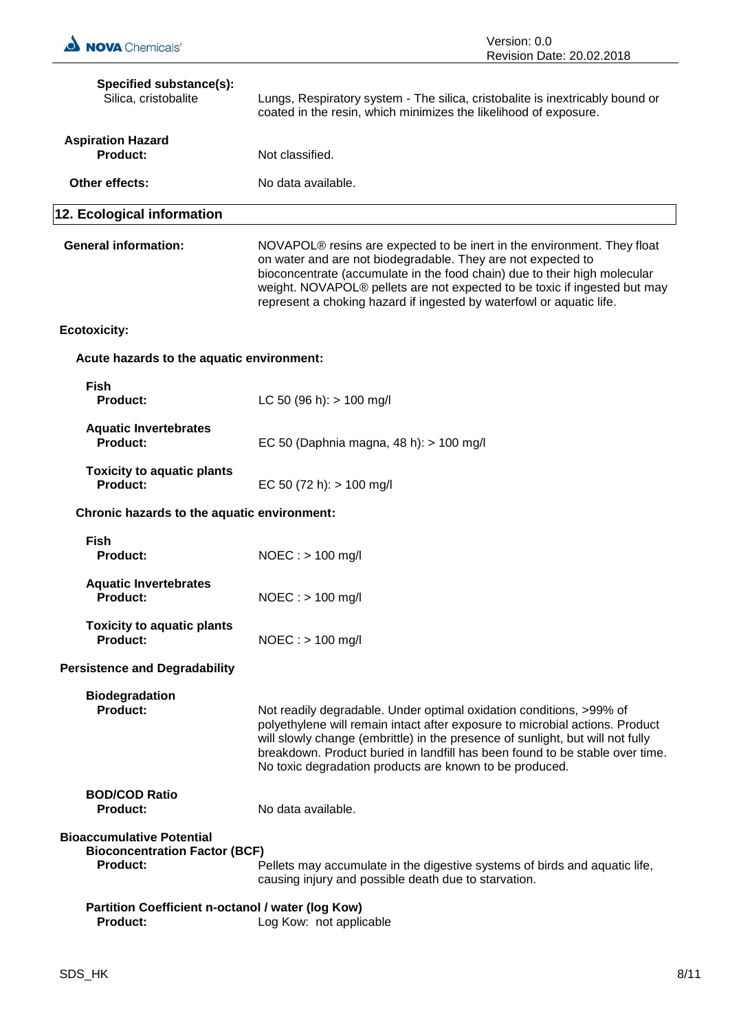| Specified substance(s):<br>Silica, cristobalite                                             | Lungs, Respiratory system - The silica, cristobalite is inextricably bound or<br>coated in the resin, which minimizes the likelihood of exposure.                                                                                                                                                                                                                                     |
|---------------------------------------------------------------------------------------------|---------------------------------------------------------------------------------------------------------------------------------------------------------------------------------------------------------------------------------------------------------------------------------------------------------------------------------------------------------------------------------------|
| <b>Aspiration Hazard</b><br><b>Product:</b>                                                 | Not classified.                                                                                                                                                                                                                                                                                                                                                                       |
| Other effects:                                                                              | No data available.                                                                                                                                                                                                                                                                                                                                                                    |
| 12. Ecological information                                                                  |                                                                                                                                                                                                                                                                                                                                                                                       |
| <b>General information:</b>                                                                 | NOVAPOL <sup>®</sup> resins are expected to be inert in the environment. They float<br>on water and are not biodegradable. They are not expected to<br>bioconcentrate (accumulate in the food chain) due to their high molecular<br>weight. NOVAPOL® pellets are not expected to be toxic if ingested but may<br>represent a choking hazard if ingested by waterfowl or aquatic life. |
| <b>Ecotoxicity:</b>                                                                         |                                                                                                                                                                                                                                                                                                                                                                                       |
| Acute hazards to the aquatic environment:                                                   |                                                                                                                                                                                                                                                                                                                                                                                       |
| <b>Fish</b><br><b>Product:</b>                                                              | LC 50 (96 h): $> 100$ mg/l                                                                                                                                                                                                                                                                                                                                                            |
| <b>Aquatic Invertebrates</b><br><b>Product:</b>                                             | EC 50 (Daphnia magna, 48 h): > 100 mg/l                                                                                                                                                                                                                                                                                                                                               |
| <b>Toxicity to aquatic plants</b><br>Product:                                               | EC 50 (72 h): $> 100$ mg/l                                                                                                                                                                                                                                                                                                                                                            |
| Chronic hazards to the aquatic environment:                                                 |                                                                                                                                                                                                                                                                                                                                                                                       |
| <b>Fish</b><br><b>Product:</b>                                                              | $NOEC:$ > 100 mg/l                                                                                                                                                                                                                                                                                                                                                                    |
| <b>Aquatic Invertebrates</b><br><b>Product:</b>                                             | $NOEC : > 100$ mg/l                                                                                                                                                                                                                                                                                                                                                                   |
| <b>Toxicity to aquatic plants</b><br><b>Product:</b>                                        | $NOEC : > 100$ mg/l                                                                                                                                                                                                                                                                                                                                                                   |
| <b>Persistence and Degradability</b>                                                        |                                                                                                                                                                                                                                                                                                                                                                                       |
| <b>Biodegradation</b><br>Product:                                                           | Not readily degradable. Under optimal oxidation conditions, >99% of<br>polyethylene will remain intact after exposure to microbial actions. Product<br>will slowly change (embrittle) in the presence of sunlight, but will not fully<br>breakdown. Product buried in landfill has been found to be stable over time.<br>No toxic degradation products are known to be produced.      |
| <b>BOD/COD Ratio</b><br><b>Product:</b>                                                     | No data available.                                                                                                                                                                                                                                                                                                                                                                    |
| <b>Bioaccumulative Potential</b><br><b>Bioconcentration Factor (BCF)</b><br><b>Product:</b> | Pellets may accumulate in the digestive systems of birds and aquatic life,<br>causing injury and possible death due to starvation.                                                                                                                                                                                                                                                    |
| Partition Coefficient n-octanol / water (log Kow)<br><b>Product:</b>                        | Log Kow: not applicable                                                                                                                                                                                                                                                                                                                                                               |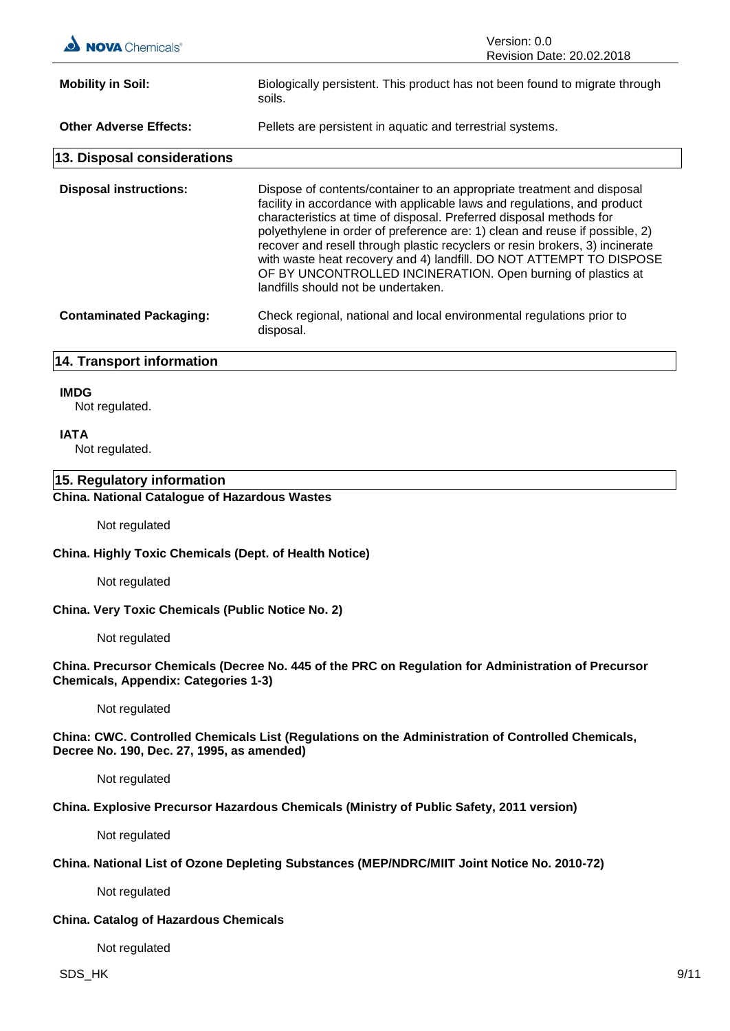| <b>A</b> Chemicals®            | Version: 0.0<br>Revision Date: 20.02.2018                                                                                                                                                                                                                                                                                                                                                                                                                                                                                                                              |
|--------------------------------|------------------------------------------------------------------------------------------------------------------------------------------------------------------------------------------------------------------------------------------------------------------------------------------------------------------------------------------------------------------------------------------------------------------------------------------------------------------------------------------------------------------------------------------------------------------------|
| <b>Mobility in Soil:</b>       | Biologically persistent. This product has not been found to migrate through<br>soils.                                                                                                                                                                                                                                                                                                                                                                                                                                                                                  |
| <b>Other Adverse Effects:</b>  | Pellets are persistent in aquatic and terrestrial systems.                                                                                                                                                                                                                                                                                                                                                                                                                                                                                                             |
| 13. Disposal considerations    |                                                                                                                                                                                                                                                                                                                                                                                                                                                                                                                                                                        |
| <b>Disposal instructions:</b>  | Dispose of contents/container to an appropriate treatment and disposal<br>facility in accordance with applicable laws and regulations, and product<br>characteristics at time of disposal. Preferred disposal methods for<br>polyethylene in order of preference are: 1) clean and reuse if possible, 2)<br>recover and resell through plastic recyclers or resin brokers, 3) incinerate<br>with waste heat recovery and 4) landfill. DO NOT ATTEMPT TO DISPOSE<br>OF BY UNCONTROLLED INCINERATION. Open burning of plastics at<br>landfills should not be undertaken. |
| <b>Contaminated Packaging:</b> | Check regional, national and local environmental regulations prior to<br>disposal.                                                                                                                                                                                                                                                                                                                                                                                                                                                                                     |

# **14. Transport information**

#### **IMDG**

Not regulated.

#### **IATA**

Not regulated.

# **15. Regulatory information**

# **China. National Catalogue of Hazardous Wastes**

Not regulated

#### **China. Highly Toxic Chemicals (Dept. of Health Notice)**

Not regulated

**China. Very Toxic Chemicals (Public Notice No. 2)**

Not regulated

## **China. Precursor Chemicals (Decree No. 445 of the PRC on Regulation for Administration of Precursor Chemicals, Appendix: Categories 1-3)**

Not regulated

## **China: CWC. Controlled Chemicals List (Regulations on the Administration of Controlled Chemicals, Decree No. 190, Dec. 27, 1995, as amended)**

Not regulated

#### **China. Explosive Precursor Hazardous Chemicals (Ministry of Public Safety, 2011 version)**

Not regulated

# **China. National List of Ozone Depleting Substances (MEP/NDRC/MIIT Joint Notice No. 2010-72)**

Not regulated

### **China. Catalog of Hazardous Chemicals**

Not regulated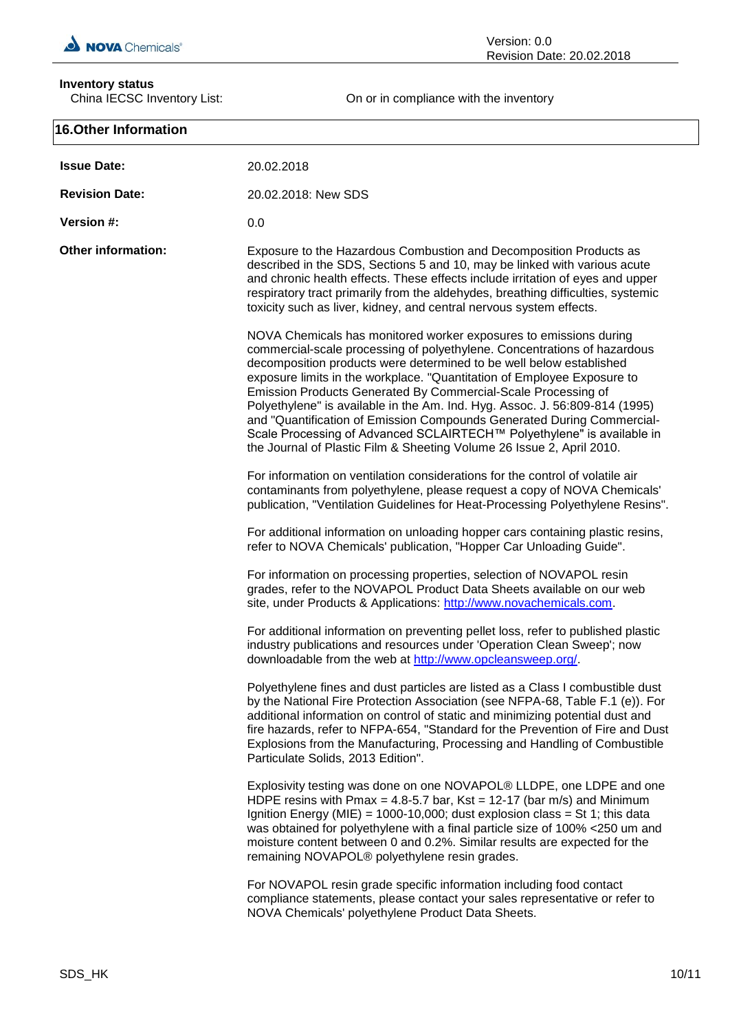

# **Inventory status**<br>China IECSC Inventory List:

Version: 0.0 Revision Date: 20.02.2018

On or in compliance with the inventory

| <b>16.Other Information</b> |                                                                                                                                                                                                                                                                                                                                                                                                                                                                                                                                                                                                                                                                              |
|-----------------------------|------------------------------------------------------------------------------------------------------------------------------------------------------------------------------------------------------------------------------------------------------------------------------------------------------------------------------------------------------------------------------------------------------------------------------------------------------------------------------------------------------------------------------------------------------------------------------------------------------------------------------------------------------------------------------|
| <b>Issue Date:</b>          | 20.02.2018                                                                                                                                                                                                                                                                                                                                                                                                                                                                                                                                                                                                                                                                   |
| <b>Revision Date:</b>       | 20.02.2018: New SDS                                                                                                                                                                                                                                                                                                                                                                                                                                                                                                                                                                                                                                                          |
| Version #:                  | 0.0                                                                                                                                                                                                                                                                                                                                                                                                                                                                                                                                                                                                                                                                          |
| <b>Other information:</b>   | Exposure to the Hazardous Combustion and Decomposition Products as<br>described in the SDS, Sections 5 and 10, may be linked with various acute<br>and chronic health effects. These effects include irritation of eyes and upper<br>respiratory tract primarily from the aldehydes, breathing difficulties, systemic<br>toxicity such as liver, kidney, and central nervous system effects.                                                                                                                                                                                                                                                                                 |
|                             | NOVA Chemicals has monitored worker exposures to emissions during<br>commercial-scale processing of polyethylene. Concentrations of hazardous<br>decomposition products were determined to be well below established<br>exposure limits in the workplace. "Quantitation of Employee Exposure to<br>Emission Products Generated By Commercial-Scale Processing of<br>Polyethylene" is available in the Am. Ind. Hyg. Assoc. J. 56:809-814 (1995)<br>and "Quantification of Emission Compounds Generated During Commercial-<br>Scale Processing of Advanced SCLAIRTECH™ Polyethylene" is available in<br>the Journal of Plastic Film & Sheeting Volume 26 Issue 2, April 2010. |
|                             | For information on ventilation considerations for the control of volatile air<br>contaminants from polyethylene, please request a copy of NOVA Chemicals'<br>publication, "Ventilation Guidelines for Heat-Processing Polyethylene Resins".                                                                                                                                                                                                                                                                                                                                                                                                                                  |
|                             | For additional information on unloading hopper cars containing plastic resins,<br>refer to NOVA Chemicals' publication, "Hopper Car Unloading Guide".                                                                                                                                                                                                                                                                                                                                                                                                                                                                                                                        |
|                             | For information on processing properties, selection of NOVAPOL resin<br>grades, refer to the NOVAPOL Product Data Sheets available on our web<br>site, under Products & Applications: http://www.novachemicals.com.                                                                                                                                                                                                                                                                                                                                                                                                                                                          |
|                             | For additional information on preventing pellet loss, refer to published plastic<br>industry publications and resources under 'Operation Clean Sweep'; now<br>downloadable from the web at http://www.opcleansweep.org/.                                                                                                                                                                                                                                                                                                                                                                                                                                                     |
|                             | Polyethylene fines and dust particles are listed as a Class I combustible dust<br>by the National Fire Protection Association (see NFPA-68, Table F.1 (e)). For<br>additional information on control of static and minimizing potential dust and<br>fire hazards, refer to NFPA-654, "Standard for the Prevention of Fire and Dust<br>Explosions from the Manufacturing, Processing and Handling of Combustible<br>Particulate Solids, 2013 Edition".                                                                                                                                                                                                                        |
|                             | Explosivity testing was done on one NOVAPOL® LLDPE, one LDPE and one<br>HDPE resins with Pmax = 4.8-5.7 bar, Kst = 12-17 (bar m/s) and Minimum<br>Ignition Energy (MIE) = 1000-10,000; dust explosion class = St 1; this data<br>was obtained for polyethylene with a final particle size of 100% <250 um and<br>moisture content between 0 and 0.2%. Similar results are expected for the<br>remaining NOVAPOL® polyethylene resin grades.                                                                                                                                                                                                                                  |
|                             | For NOVAPOL resin grade specific information including food contact<br>compliance statements, please contact your sales representative or refer to<br>NOVA Chemicals' polyethylene Product Data Sheets.                                                                                                                                                                                                                                                                                                                                                                                                                                                                      |